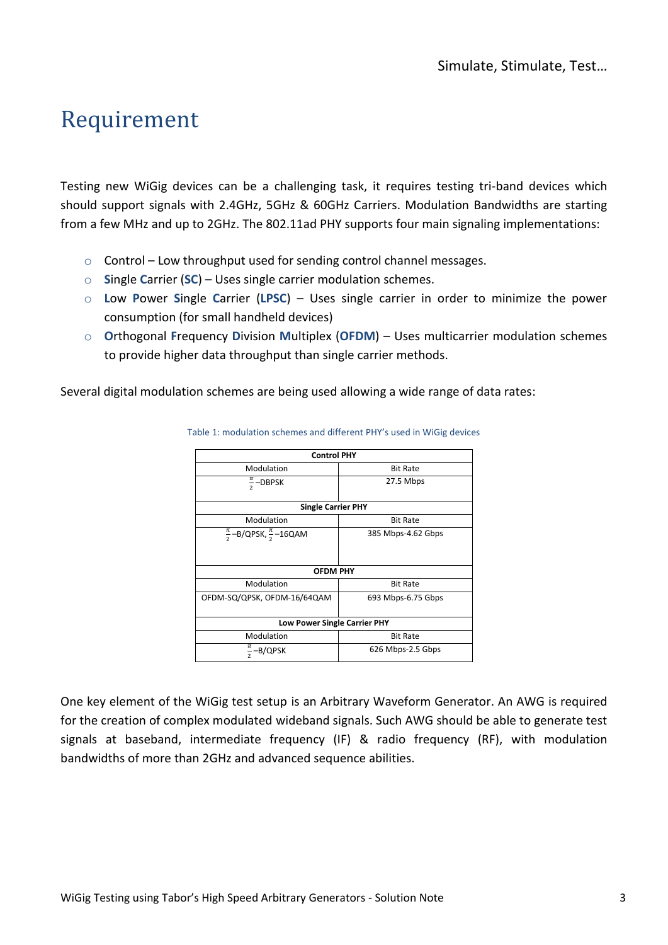## Requirement

Testing new WiGig devices can be a challenging task, it requires testing tri-band devices which should support signals with 2.4GHz, 5GHz & 60GHz Carriers. Modulation Bandwidths are starting from a few MHz and up to 2GHz. The 802.11ad PHY supports four main signaling implementations:

- o Control Low throughput used for sending control channel messages.
- o **S**ingle **C**arrier (**SC**) Uses single carrier modulation schemes.
- o **L**ow **P**ower **S**ingle **C**arrier (**LPSC**) Uses single carrier in order to minimize the power consumption (for small handheld devices)
- o **O**rthogonal **F**requency **D**ivision **M**ultiplex (**OFDM**) Uses multicarrier modulation schemes to provide higher data throughput than single carrier methods.

Several digital modulation schemes are being used allowing a wide range of data rates:

| <b>Control PHY</b>                              |                    |
|-------------------------------------------------|--------------------|
| Modulation                                      | <b>Bit Rate</b>    |
| π<br>$\frac{n}{2}$ -DBPSK                       | 27.5 Mbps          |
| <b>Single Carrier PHY</b>                       |                    |
| Modulation                                      | <b>Bit Rate</b>    |
| $\frac{\pi}{2}$ –B/QPSK, $\frac{\pi}{2}$ –16QAM | 385 Mbps-4.62 Gbps |
| <b>OFDM PHY</b>                                 |                    |
| Modulation                                      | <b>Bit Rate</b>    |
| OFDM-SQ/QPSK, OFDM-16/64QAM                     | 693 Mbps-6.75 Gbps |
| Low Power Single Carrier PHY                    |                    |
| Modulation                                      | <b>Bit Rate</b>    |
| B/QPSK                                          | 626 Mbps-2.5 Gbps  |

#### Table 1: modulation schemes and different PHY's used in WiGig devices

One key element of the WiGig test setup is an Arbitrary Waveform Generator. An AWG is required for the creation of complex modulated wideband signals. Such AWG should be able to generate test signals at baseband, intermediate frequency (IF) & radio frequency (RF), with modulation bandwidths of more than 2GHz and advanced sequence abilities.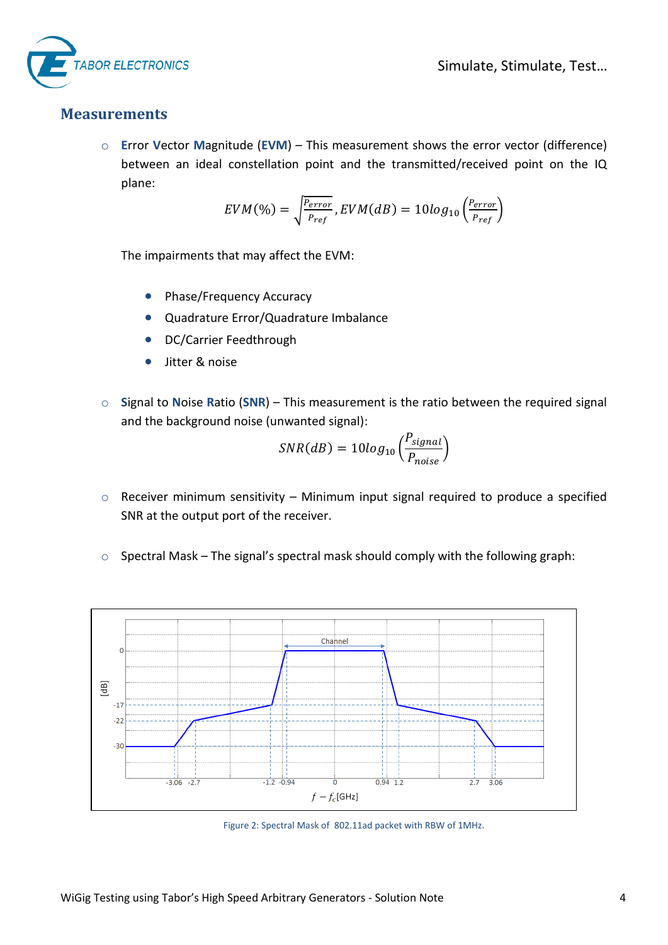



### **Measurements**

o **E**rror **V**ector **M**agnitude (**EVM**) – This measurement shows the error vector (difference) between an ideal constellation point and the transmitted/received point on the IQ plane:

$$
EVM(\%) = \sqrt{\frac{P_{error}}{P_{ref}}}, EVM(dB) = 10log_{10}\left(\frac{P_{error}}{P_{ref}}\right)
$$

The impairments that may affect the EVM:

- Phase/Frequency Accuracy
- Quadrature Error/Quadrature Imbalance
- DC/Carrier Feedthrough
- **•** Jitter & noise
- o **S**ignal to **N**oise **R**atio (**SNR**) This measurement is the ratio between the required signal and the background noise (unwanted signal):

$$
SNR(dB) = 10log_{10}\left(\frac{P_{signal}}{P_{noise}}\right)
$$

- $\circ$  Receiver minimum sensitivity Minimum input signal required to produce a specified SNR at the output port of the receiver.
- o Spectral Mask The signal's spectral mask should comply with the following graph:



Figure 2: Spectral Mask of 802.11ad packet with RBW of 1MHz.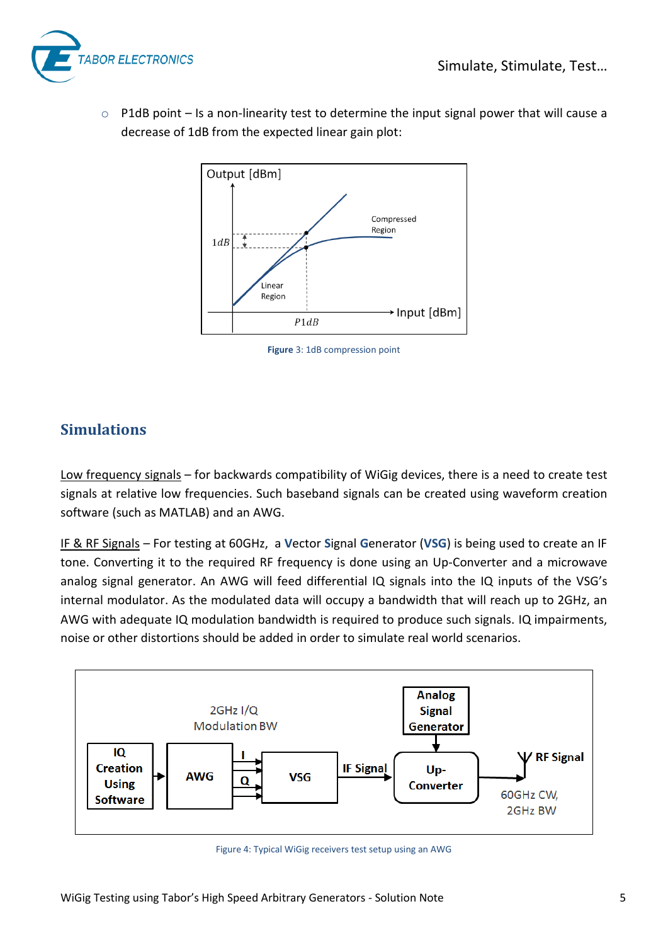

 $\circ$  P1dB point – Is a non-linearity test to determine the input signal power that will cause a decrease of 1dB from the expected linear gain plot:



**Figure** 3: 1dB compression point

### **Simulations**

Low frequency signals – for backwards compatibility of WiGig devices, there is a need to create test signals at relative low frequencies. Such baseband signals can be created using waveform creation software (such as MATLAB) and an AWG.

IF & RF Signals – For testing at 60GHz, a **V**ector **S**ignal **G**enerator (**VSG**) is being used to create an IF tone. Converting it to the required RF frequency is done using an Up-Converter and a microwave analog signal generator. An AWG will feed differential IQ signals into the IQ inputs of the VSG's internal modulator. As the modulated data will occupy a bandwidth that will reach up to 2GHz, an AWG with adequate IQ modulation bandwidth is required to produce such signals. IQ impairments, noise or other distortions should be added in order to simulate real world scenarios.



Figure 4: Typical WiGig receivers test setup using an AWG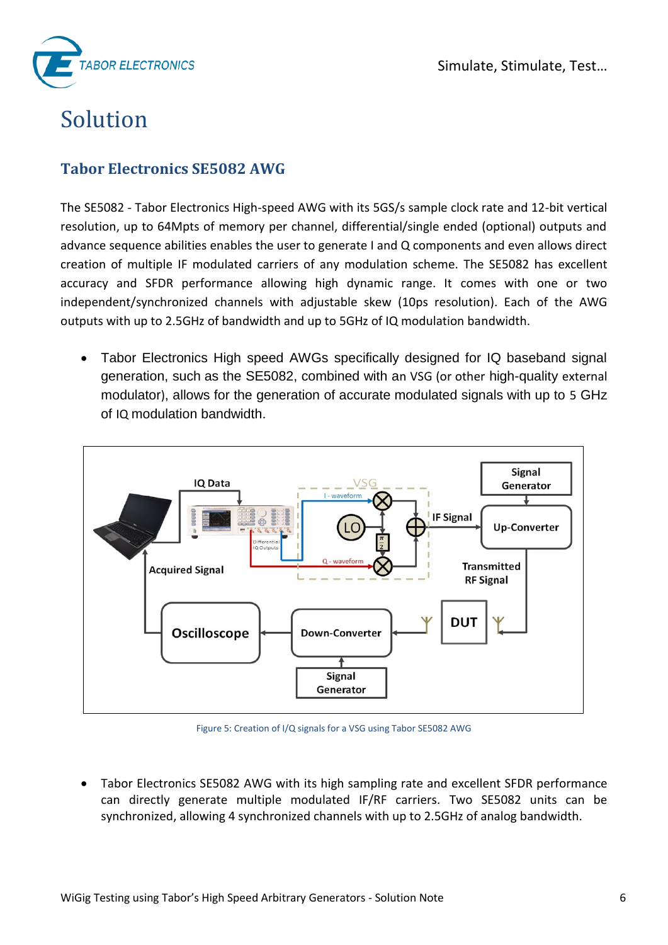

# Solution

### **Tabor Electronics SE5082 AWG**

The SE5082 - Tabor Electronics High-speed AWG with its 5GS/s sample clock rate and 12-bit vertical resolution, up to 64Mpts of memory per channel, differential/single ended (optional) outputs and advance sequence abilities enables the user to generate I and Q components and even allows direct creation of multiple IF modulated carriers of any modulation scheme. The SE5082 has excellent accuracy and SFDR performance allowing high dynamic range. It comes with one or two independent/synchronized channels with adjustable skew (10ps resolution). Each of the AWG outputs with up to 2.5GHz of bandwidth and up to 5GHz of IQ modulation bandwidth.

 Tabor Electronics High speed AWGs specifically designed for IQ baseband signal generation, such as the SE5082, combined with an VSG (or other high-quality external modulator), allows for the generation of accurate modulated signals with up to 5 GHz of IQ modulation bandwidth.



Figure 5: Creation of I/Q signals for a VSG using Tabor SE5082 AWG

 Tabor Electronics SE5082 AWG with its high sampling rate and excellent SFDR performance can directly generate multiple modulated IF/RF carriers. Two SE5082 units can be synchronized, allowing 4 synchronized channels with up to 2.5GHz of analog bandwidth.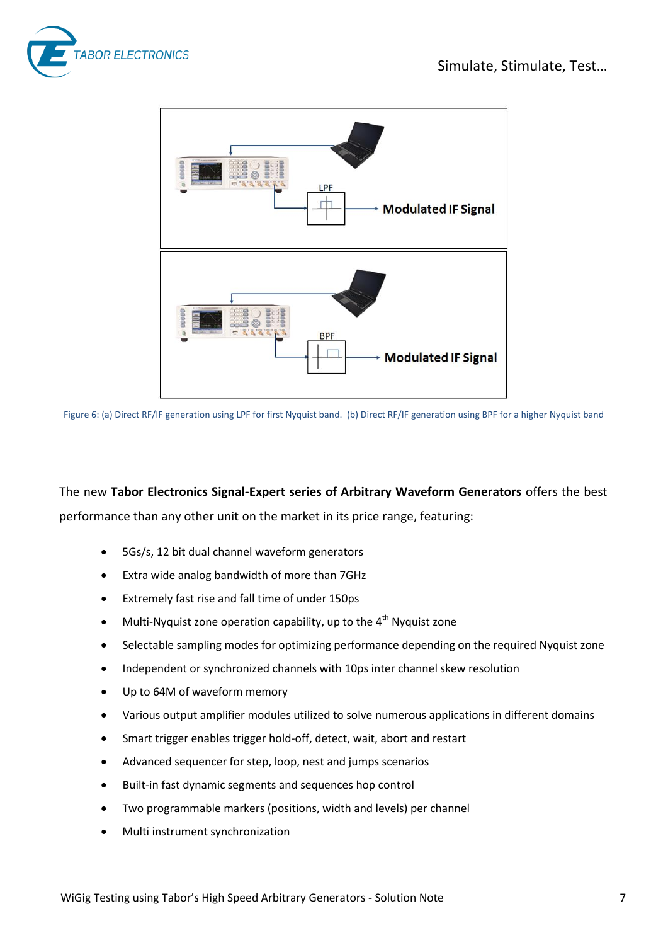





Figure 6: (a) Direct RF/IF generation using LPF for first Nyquist band. (b) Direct RF/IF generation using BPF for a higher Nyquist band

#### The new **Tabor Electronics Signal-Expert series of Arbitrary Waveform Generators** offers the best

performance than any other unit on the market in its price range, featuring:

- 5Gs/s, 12 bit dual channel waveform generators
- Extra wide analog bandwidth of more than 7GHz
- Extremely fast rise and fall time of under 150ps
- $\bullet$  Multi-Nyquist zone operation capability, up to the 4<sup>th</sup> Nyquist zone
- Selectable sampling modes for optimizing performance depending on the required Nyquist zone
- Independent or synchronized channels with 10ps inter channel skew resolution
- Up to 64M of waveform memory
- Various output amplifier modules utilized to solve numerous applications in different domains
- Smart trigger enables trigger hold-off, detect, wait, abort and restart
- Advanced sequencer for step, loop, nest and jumps scenarios
- Built-in fast dynamic segments and sequences hop control
- Two programmable markers (positions, width and levels) per channel
- Multi instrument synchronization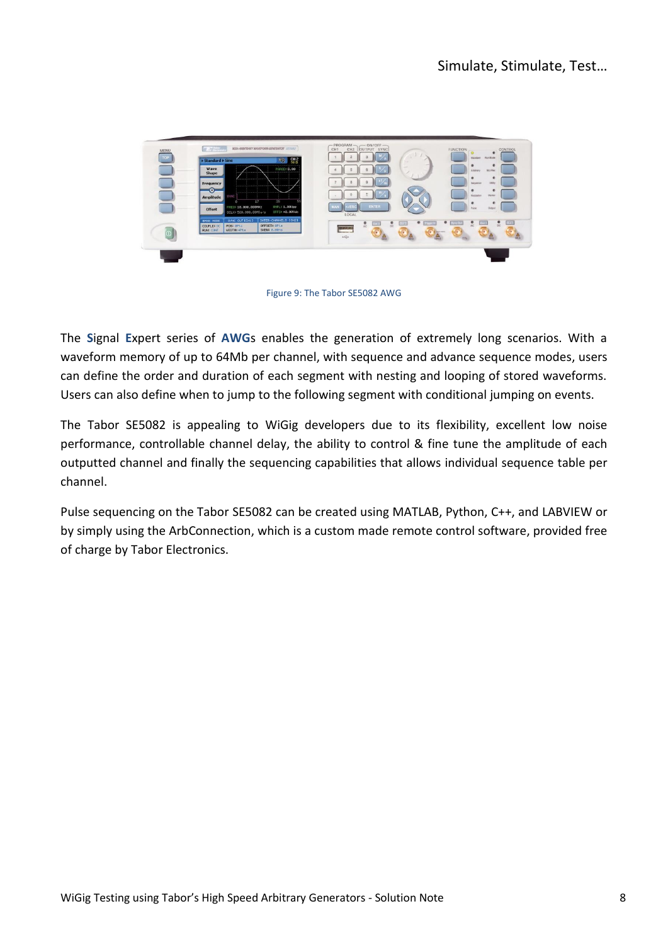

Figure 9: The Tabor SE5082 AWG

The **S**ignal **E**xpert series of **AWG**s enables the generation of extremely long scenarios. With a waveform memory of up to 64Mb per channel, with sequence and advance sequence modes, users can define the order and duration of each segment with nesting and looping of stored waveforms. Users can also define when to jump to the following segment with conditional jumping on events.

The Tabor SE5082 is appealing to WiGig developers due to its flexibility, excellent low noise performance, controllable channel delay, the ability to control & fine tune the amplitude of each outputted channel and finally the sequencing capabilities that allows individual sequence table per channel.

Pulse sequencing on the Tabor SE5082 can be created using MATLAB, Python, C++, and LABVIEW or by simply using the ArbConnection, which is a custom made remote control software, provided free of charge by Tabor Electronics.